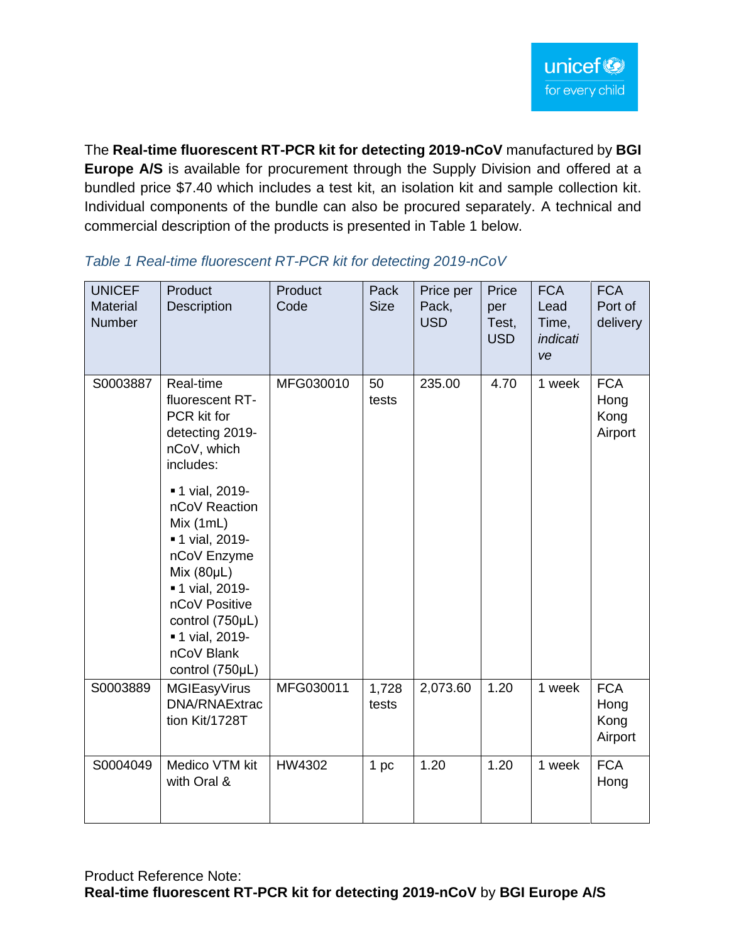The **Real-time fluorescent RT-PCR kit for detecting 2019-nCoV** manufactured by **BGI Europe A/S** is available for procurement through the Supply Division and offered at a bundled price \$7.40 which includes a test kit, an isolation kit and sample collection kit. Individual components of the bundle can also be procured separately. A technical and commercial description of the products is presented in Table 1 below.

| <b>UNICEF</b><br>Material<br>Number | Product<br>Description                                                                                                                                                                                                   | Product<br>Code | Pack<br><b>Size</b> | Price per<br>Pack,<br><b>USD</b> | Price<br>per<br>Test,<br><b>USD</b> | <b>FCA</b><br>Lead<br>Time,<br>indicati<br>ve | <b>FCA</b><br>Port of<br>delivery     |
|-------------------------------------|--------------------------------------------------------------------------------------------------------------------------------------------------------------------------------------------------------------------------|-----------------|---------------------|----------------------------------|-------------------------------------|-----------------------------------------------|---------------------------------------|
| S0003887                            | Real-time<br>fluorescent RT-<br>PCR kit for<br>detecting 2019-<br>nCoV, which<br>includes:                                                                                                                               | MFG030010       | 50<br>tests         | 235.00                           | 4.70                                | 1 week                                        | <b>FCA</b><br>Hong<br>Kong<br>Airport |
|                                     | <b>-1 vial, 2019-</b><br>nCoV Reaction<br>Mix(1mL)<br>■ 1 vial, 2019-<br>nCoV Enzyme<br>Mix $(80\mu L)$<br>■ 1 vial, 2019-<br>nCoV Positive<br>control (750µL)<br><b>-1 vial, 2019-</b><br>nCoV Blank<br>control (750µL) |                 |                     |                                  |                                     |                                               |                                       |
| S0003889                            | MGIEasyVirus<br><b>DNA/RNAExtrac</b><br>tion Kit/1728T                                                                                                                                                                   | MFG030011       | 1,728<br>tests      | 2,073.60                         | 1.20                                | 1 week                                        | <b>FCA</b><br>Hong<br>Kong<br>Airport |
| S0004049                            | Medico VTM kit<br>with Oral &                                                                                                                                                                                            | HW4302          | 1 pc                | 1.20                             | 1.20                                | 1 week                                        | <b>FCA</b><br>Hong                    |

## *Table 1 Real-time fluorescent RT-PCR kit for detecting 2019-nCoV*